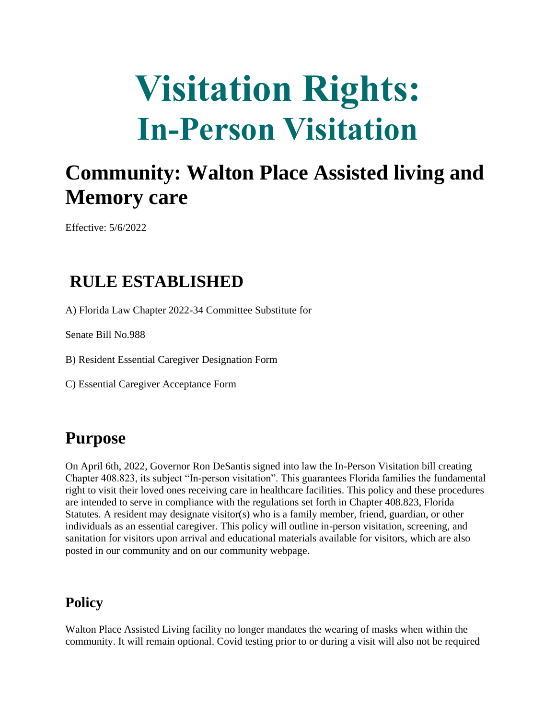# **Visitation Rights: In-Person Visitation**

### **Community: Walton Place Assisted living and Memory care**

Effective: 5/6/2022

#### **RULE ESTABLISHED**

A) Florida Law Chapter 2022-34 Committee Substitute for

Senate Bill No.988

B) Resident Essential Caregiver Designation Form

C) Essential Caregiver Acceptance Form

### **Purpose**

On April 6th, 2022, Governor Ron DeSantis signed into law the In-Person Visitation bill creating Chapter 408.823, its subject "In-person visitation". This guarantees Florida families the fundamental right to visit their loved ones receiving care in healthcare facilities. This policy and these procedures are intended to serve in compliance with the regulations set forth in Chapter 408.823, Florida Statutes. A resident may designate visitor(s) who is a family member, friend, guardian, or other individuals as an essential caregiver. This policy will outline in-person visitation, screening, and sanitation for visitors upon arrival and educational materials available for visitors, which are also posted in our community and on our community webpage.

#### **Policy**

Walton Place Assisted Living facility no longer mandates the wearing of masks when within the community. It will remain optional. Covid testing prior to or during a visit will also not be required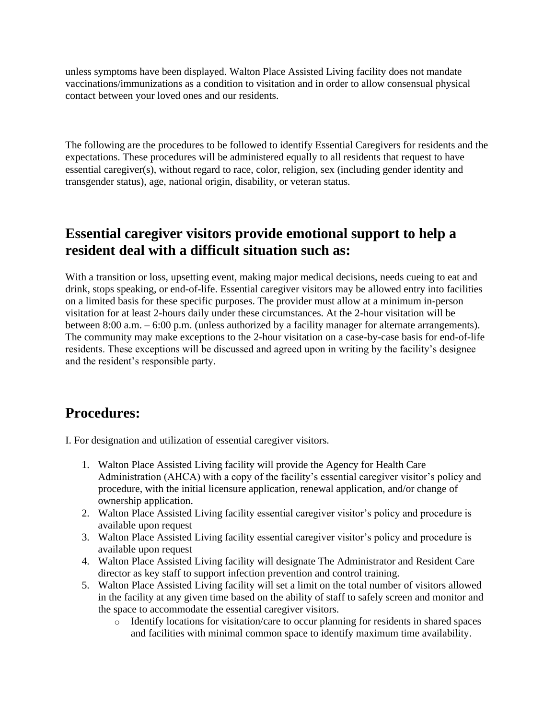unless symptoms have been displayed. Walton Place Assisted Living facility does not mandate vaccinations/immunizations as a condition to visitation and in order to allow consensual physical contact between your loved ones and our residents.

The following are the procedures to be followed to identify Essential Caregivers for residents and the expectations. These procedures will be administered equally to all residents that request to have essential caregiver(s), without regard to race, color, religion, sex (including gender identity and transgender status), age, national origin, disability, or veteran status.

#### **Essential caregiver visitors provide emotional support to help a resident deal with a difficult situation such as:**

With a transition or loss, upsetting event, making major medical decisions, needs cueing to eat and drink, stops speaking, or end-of-life. Essential caregiver visitors may be allowed entry into facilities on a limited basis for these specific purposes. The provider must allow at a minimum in-person visitation for at least 2-hours daily under these circumstances. At the 2-hour visitation will be between 8:00 a.m. – 6:00 p.m. (unless authorized by a facility manager for alternate arrangements). The community may make exceptions to the 2-hour visitation on a case-by-case basis for end-of-life residents. These exceptions will be discussed and agreed upon in writing by the facility's designee and the resident's responsible party.

#### **Procedures:**

I. For designation and utilization of essential caregiver visitors.

- 1. Walton Place Assisted Living facility will provide the Agency for Health Care Administration (AHCA) with a copy of the facility's essential caregiver visitor's policy and procedure, with the initial licensure application, renewal application, and/or change of ownership application.
- 2. Walton Place Assisted Living facility essential caregiver visitor's policy and procedure is available upon request
- 3. Walton Place Assisted Living facility essential caregiver visitor's policy and procedure is available upon request
- 4. Walton Place Assisted Living facility will designate The Administrator and Resident Care director as key staff to support infection prevention and control training.
- 5. Walton Place Assisted Living facility will set a limit on the total number of visitors allowed in the facility at any given time based on the ability of staff to safely screen and monitor and the space to accommodate the essential caregiver visitors.
	- o Identify locations for visitation/care to occur planning for residents in shared spaces and facilities with minimal common space to identify maximum time availability.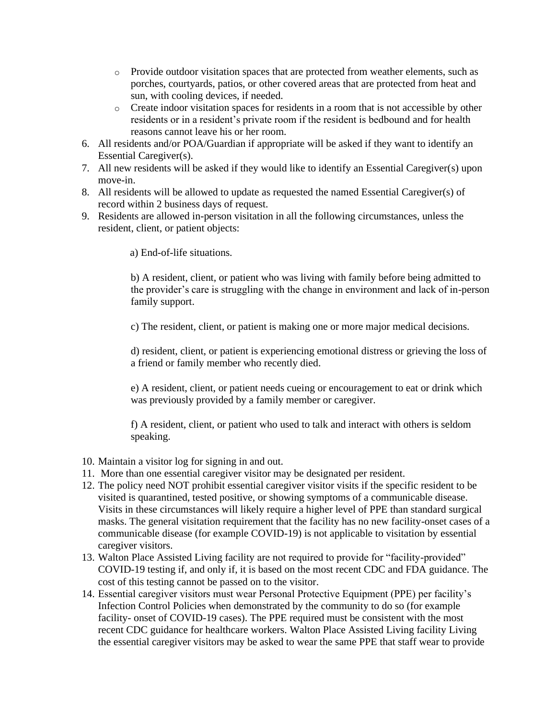- o Provide outdoor visitation spaces that are protected from weather elements, such as porches, courtyards, patios, or other covered areas that are protected from heat and sun, with cooling devices, if needed.
- o Create indoor visitation spaces for residents in a room that is not accessible by other residents or in a resident's private room if the resident is bedbound and for health reasons cannot leave his or her room.
- 6. All residents and/or POA/Guardian if appropriate will be asked if they want to identify an Essential Caregiver(s).
- 7. All new residents will be asked if they would like to identify an Essential Caregiver(s) upon move-in.
- 8. All residents will be allowed to update as requested the named Essential Caregiver(s) of record within 2 business days of request.
- 9. Residents are allowed in-person visitation in all the following circumstances, unless the resident, client, or patient objects:

a) End-of-life situations.

b) A resident, client, or patient who was living with family before being admitted to the provider's care is struggling with the change in environment and lack of in-person family support.

c) The resident, client, or patient is making one or more major medical decisions.

d) resident, client, or patient is experiencing emotional distress or grieving the loss of a friend or family member who recently died.

e) A resident, client, or patient needs cueing or encouragement to eat or drink which was previously provided by a family member or caregiver.

f) A resident, client, or patient who used to talk and interact with others is seldom speaking.

- 10. Maintain a visitor log for signing in and out.
- 11. More than one essential caregiver visitor may be designated per resident.
- 12. The policy need NOT prohibit essential caregiver visitor visits if the specific resident to be visited is quarantined, tested positive, or showing symptoms of a communicable disease. Visits in these circumstances will likely require a higher level of PPE than standard surgical masks. The general visitation requirement that the facility has no new facility-onset cases of a communicable disease (for example COVID-19) is not applicable to visitation by essential caregiver visitors.
- 13. Walton Place Assisted Living facility are not required to provide for "facility-provided" COVID-19 testing if, and only if, it is based on the most recent CDC and FDA guidance. The cost of this testing cannot be passed on to the visitor.
- 14. Essential caregiver visitors must wear Personal Protective Equipment (PPE) per facility's Infection Control Policies when demonstrated by the community to do so (for example facility- onset of COVID-19 cases). The PPE required must be consistent with the most recent CDC guidance for healthcare workers. Walton Place Assisted Living facility Living the essential caregiver visitors may be asked to wear the same PPE that staff wear to provide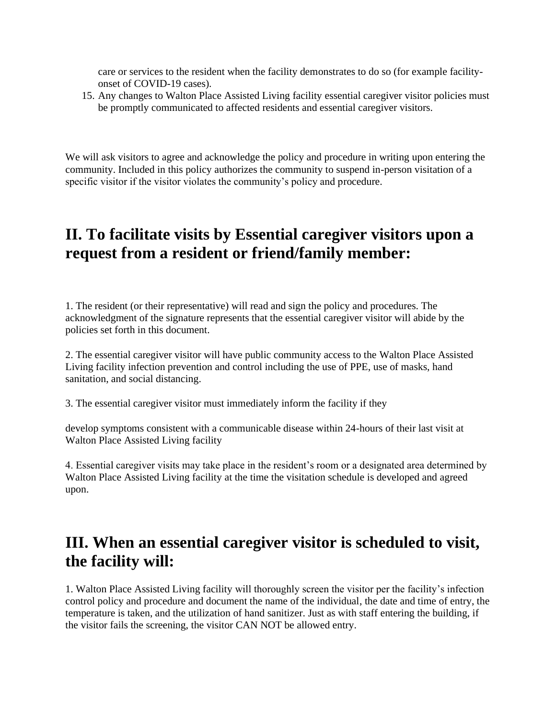care or services to the resident when the facility demonstrates to do so (for example facilityonset of COVID-19 cases).

15. Any changes to Walton Place Assisted Living facility essential caregiver visitor policies must be promptly communicated to affected residents and essential caregiver visitors.

We will ask visitors to agree and acknowledge the policy and procedure in writing upon entering the community. Included in this policy authorizes the community to suspend in-person visitation of a specific visitor if the visitor violates the community's policy and procedure.

#### **II. To facilitate visits by Essential caregiver visitors upon a request from a resident or friend/family member:**

1. The resident (or their representative) will read and sign the policy and procedures. The acknowledgment of the signature represents that the essential caregiver visitor will abide by the policies set forth in this document.

2. The essential caregiver visitor will have public community access to the Walton Place Assisted Living facility infection prevention and control including the use of PPE, use of masks, hand sanitation, and social distancing.

3. The essential caregiver visitor must immediately inform the facility if they

develop symptoms consistent with a communicable disease within 24-hours of their last visit at Walton Place Assisted Living facility

4. Essential caregiver visits may take place in the resident's room or a designated area determined by Walton Place Assisted Living facility at the time the visitation schedule is developed and agreed upon.

#### **III. When an essential caregiver visitor is scheduled to visit, the facility will:**

1. Walton Place Assisted Living facility will thoroughly screen the visitor per the facility's infection control policy and procedure and document the name of the individual, the date and time of entry, the temperature is taken, and the utilization of hand sanitizer. Just as with staff entering the building, if the visitor fails the screening, the visitor CAN NOT be allowed entry.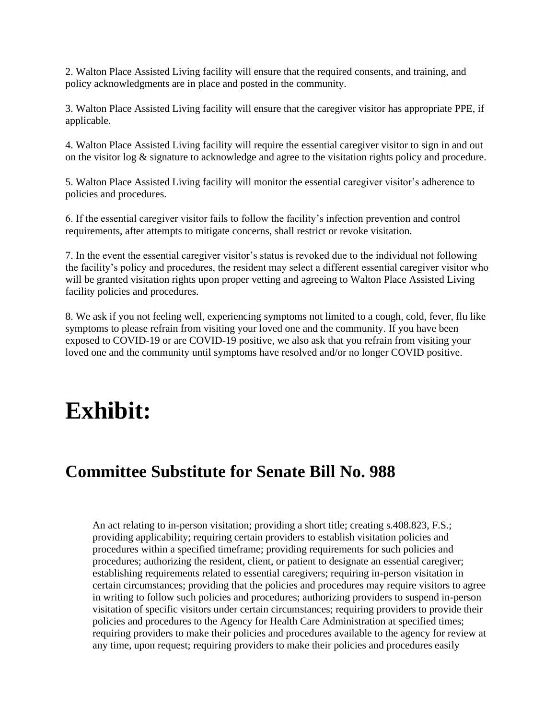2. Walton Place Assisted Living facility will ensure that the required consents, and training, and policy acknowledgments are in place and posted in the community.

3. Walton Place Assisted Living facility will ensure that the caregiver visitor has appropriate PPE, if applicable.

4. Walton Place Assisted Living facility will require the essential caregiver visitor to sign in and out on the visitor log & signature to acknowledge and agree to the visitation rights policy and procedure.

5. Walton Place Assisted Living facility will monitor the essential caregiver visitor's adherence to policies and procedures.

6. If the essential caregiver visitor fails to follow the facility's infection prevention and control requirements, after attempts to mitigate concerns, shall restrict or revoke visitation.

7. In the event the essential caregiver visitor's status is revoked due to the individual not following the facility's policy and procedures, the resident may select a different essential caregiver visitor who will be granted visitation rights upon proper vetting and agreeing to Walton Place Assisted Living facility policies and procedures.

8. We ask if you not feeling well, experiencing symptoms not limited to a cough, cold, fever, flu like symptoms to please refrain from visiting your loved one and the community. If you have been exposed to COVID-19 or are COVID-19 positive, we also ask that you refrain from visiting your loved one and the community until symptoms have resolved and/or no longer COVID positive.

### **Exhibit:**

#### **Committee Substitute for Senate Bill No. 988**

An act relating to in-person visitation; providing a short title; creating s.408.823, F.S.; providing applicability; requiring certain providers to establish visitation policies and procedures within a specified timeframe; providing requirements for such policies and procedures; authorizing the resident, client, or patient to designate an essential caregiver; establishing requirements related to essential caregivers; requiring in-person visitation in certain circumstances; providing that the policies and procedures may require visitors to agree in writing to follow such policies and procedures; authorizing providers to suspend in-person visitation of specific visitors under certain circumstances; requiring providers to provide their policies and procedures to the Agency for Health Care Administration at specified times; requiring providers to make their policies and procedures available to the agency for review at any time, upon request; requiring providers to make their policies and procedures easily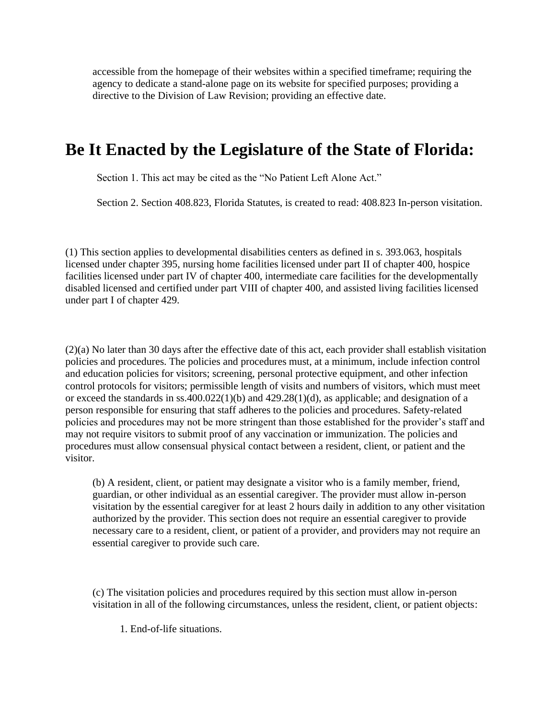accessible from the homepage of their websites within a specified timeframe; requiring the agency to dedicate a stand-alone page on its website for specified purposes; providing a directive to the Division of Law Revision; providing an effective date.

#### **Be It Enacted by the Legislature of the State of Florida:**

Section 1. This act may be cited as the "No Patient Left Alone Act."

Section 2. Section 408.823, Florida Statutes, is created to read: 408.823 In-person visitation.

(1) This section applies to developmental disabilities centers as defined in s. 393.063, hospitals licensed under chapter 395, nursing home facilities licensed under part II of chapter 400, hospice facilities licensed under part IV of chapter 400, intermediate care facilities for the developmentally disabled licensed and certified under part VIII of chapter 400, and assisted living facilities licensed under part I of chapter 429.

(2)(a) No later than 30 days after the effective date of this act, each provider shall establish visitation policies and procedures. The policies and procedures must, at a minimum, include infection control and education policies for visitors; screening, personal protective equipment, and other infection control protocols for visitors; permissible length of visits and numbers of visitors, which must meet or exceed the standards in ss.400.022(1)(b) and 429.28(1)(d), as applicable; and designation of a person responsible for ensuring that staff adheres to the policies and procedures. Safety-related policies and procedures may not be more stringent than those established for the provider's staff and may not require visitors to submit proof of any vaccination or immunization. The policies and procedures must allow consensual physical contact between a resident, client, or patient and the visitor.

(b) A resident, client, or patient may designate a visitor who is a family member, friend, guardian, or other individual as an essential caregiver. The provider must allow in-person visitation by the essential caregiver for at least 2 hours daily in addition to any other visitation authorized by the provider. This section does not require an essential caregiver to provide necessary care to a resident, client, or patient of a provider, and providers may not require an essential caregiver to provide such care.

(c) The visitation policies and procedures required by this section must allow in-person visitation in all of the following circumstances, unless the resident, client, or patient objects:

1. End-of-life situations.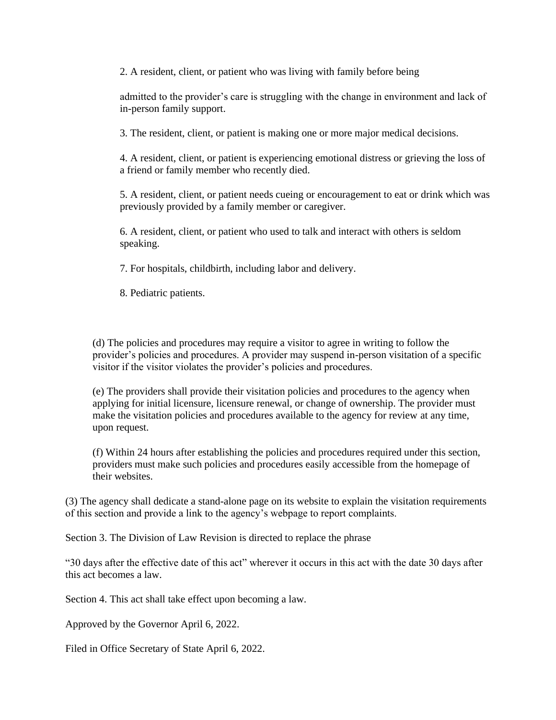2. A resident, client, or patient who was living with family before being

admitted to the provider's care is struggling with the change in environment and lack of in-person family support.

3. The resident, client, or patient is making one or more major medical decisions.

4. A resident, client, or patient is experiencing emotional distress or grieving the loss of a friend or family member who recently died.

5. A resident, client, or patient needs cueing or encouragement to eat or drink which was previously provided by a family member or caregiver.

6. A resident, client, or patient who used to talk and interact with others is seldom speaking.

7. For hospitals, childbirth, including labor and delivery.

8. Pediatric patients.

(d) The policies and procedures may require a visitor to agree in writing to follow the provider's policies and procedures. A provider may suspend in-person visitation of a specific visitor if the visitor violates the provider's policies and procedures.

(e) The providers shall provide their visitation policies and procedures to the agency when applying for initial licensure, licensure renewal, or change of ownership. The provider must make the visitation policies and procedures available to the agency for review at any time, upon request.

(f) Within 24 hours after establishing the policies and procedures required under this section, providers must make such policies and procedures easily accessible from the homepage of their websites.

(3) The agency shall dedicate a stand-alone page on its website to explain the visitation requirements of this section and provide a link to the agency's webpage to report complaints.

Section 3. The Division of Law Revision is directed to replace the phrase

"30 days after the effective date of this act" wherever it occurs in this act with the date 30 days after this act becomes a law.

Section 4. This act shall take effect upon becoming a law.

Approved by the Governor April 6, 2022.

Filed in Office Secretary of State April 6, 2022.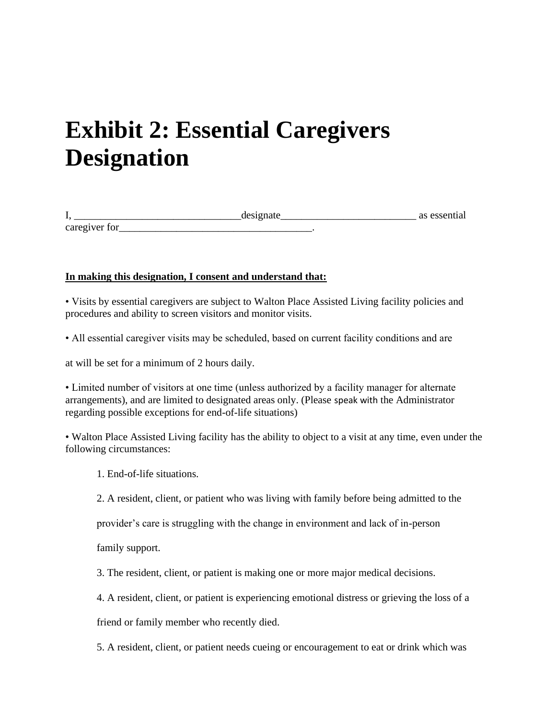## **Exhibit 2: Essential Caregivers Designation**

| .                                                              | مغمدمه | as essent |
|----------------------------------------------------------------|--------|-----------|
| . <i>.</i><br>$-21$<br>$C3$ re $\sigma1$<br><b>vair</b><br>. . |        |           |

#### **In making this designation, I consent and understand that:**

• Visits by essential caregivers are subject to Walton Place Assisted Living facility policies and procedures and ability to screen visitors and monitor visits.

• All essential caregiver visits may be scheduled, based on current facility conditions and are

at will be set for a minimum of 2 hours daily.

• Limited number of visitors at one time (unless authorized by a facility manager for alternate arrangements), and are limited to designated areas only. (Please speak with the Administrator regarding possible exceptions for end-of-life situations)

• Walton Place Assisted Living facility has the ability to object to a visit at any time, even under the following circumstances:

- 1. End-of-life situations.
- 2. A resident, client, or patient who was living with family before being admitted to the

provider's care is struggling with the change in environment and lack of in-person

family support.

3. The resident, client, or patient is making one or more major medical decisions.

4. A resident, client, or patient is experiencing emotional distress or grieving the loss of a

friend or family member who recently died.

5. A resident, client, or patient needs cueing or encouragement to eat or drink which was